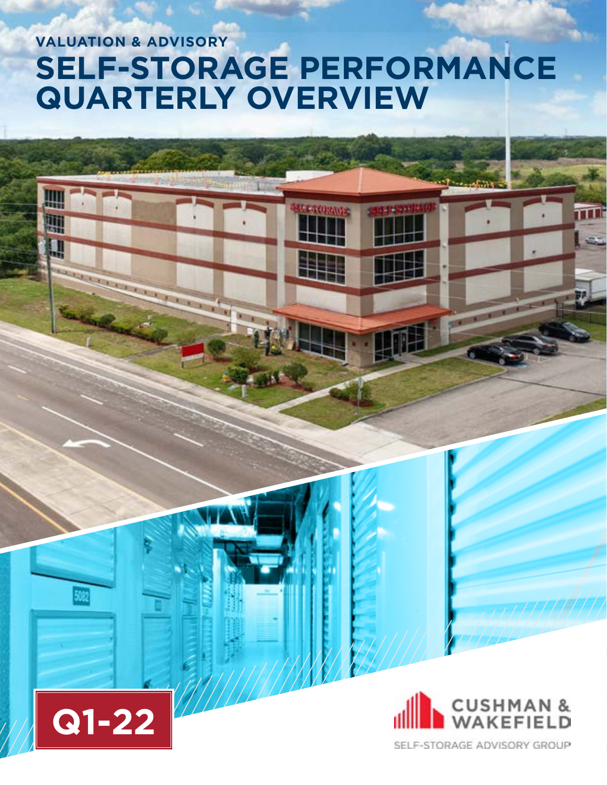## **VALUATION & ADVISORY SELF-STORAGE PERFORMANCE QUARTERLY OVERVIEW**



508

Щ

g



SELF-STORAGE ADVISORY GROUP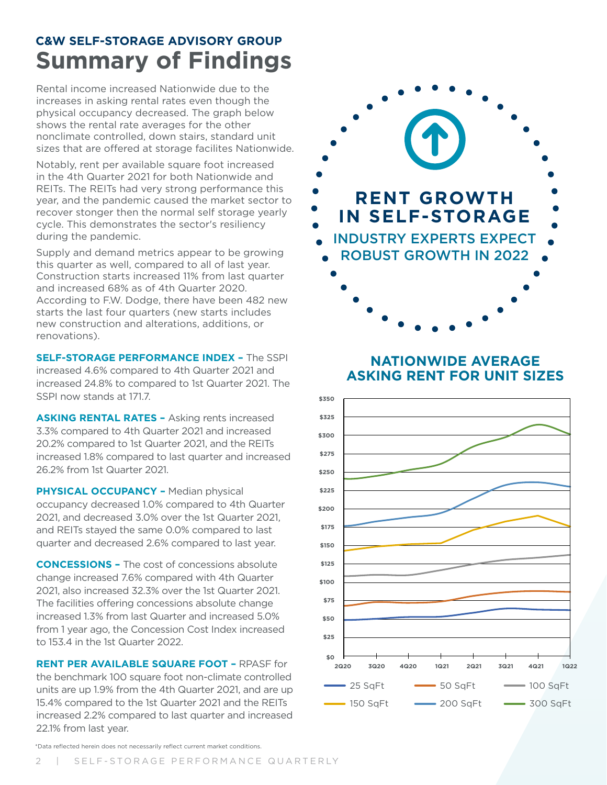#### **C&W SELF-STORAGE ADVISORY GROUP Summary of Findings**

Rental income increased Nationwide due to the increases in asking rental rates even though the physical occupancy decreased. The graph below shows the rental rate averages for the other nonclimate controlled, down stairs, standard unit sizes that are offered at storage facilites Nationwide.

Notably, rent per available square foot increased in the 4th Quarter 2021 for both Nationwide and REITs. The REITs had very strong performance this year, and the pandemic caused the market sector to recover stonger then the normal self storage yearly cycle. This demonstrates the sector's resiliency during the pandemic.

Supply and demand metrics appear to be growing this quarter as well, compared to all of last year. Construction starts increased 11% from last quarter and increased 68% as of 4th Quarter 2020. According to F.W. Dodge, there have been 482 new starts the last four quarters (new starts includes new construction and alterations, additions, or renovations).

**SELF-STORAGE PERFORMANCE INDEX –** The SSPI increased 4.6% compared to 4th Quarter 2021 and increased 24.8% to compared to 1st Quarter 2021. The SSPI now stands at 171.7.

**ASKING RENTAL RATES –** Asking rents increased 3.3% compared to 4th Quarter 2021 and increased 20.2% compared to 1st Quarter 2021, and the REITs increased 1.8% compared to last quarter and increased 26.2% from 1st Quarter 2021.

**PHYSICAL OCCUPANCY –** Median physical occupancy decreased 1.0% compared to 4th Quarter 2021, and decreased 3.0% over the 1st Quarter 2021, and REITs stayed the same 0.0% compared to last quarter and decreased 2.6% compared to last year.

**CONCESSIONS –** The cost of concessions absolute change increased 7.6% compared with 4th Quarter 2021, also increased 32.3% over the 1st Quarter 2021. The facilities offering concessions absolute change increased 1.3% from last Quarter and increased 5.0% from 1 year ago, the Concession Cost Index increased to 153.4 in the 1st Quarter 2022.

**RENT PER AVAILABLE SQUARE FOOT –** RPASF for the benchmark 100 square foot non-climate controlled units are up 1.9% from the 4th Quarter 2021, and are up 15.4% compared to the 1st Quarter 2021 and the REITs increased 2.2% compared to last quarter and increased 22.1% from last year.

\*Data reflected herein does not necessarily reflect current market conditions.



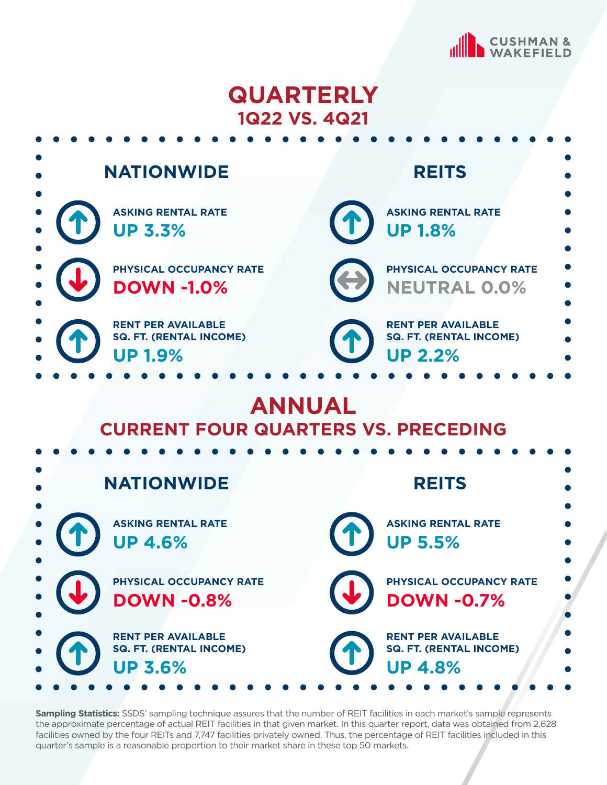

### **QUARTERLY 1Q22 VS. 4Q21**

| <b>NATIONWIDE</b>                                           | <b>REITS</b>                                |  |  |  |
|-------------------------------------------------------------|---------------------------------------------|--|--|--|
| <b>ASKING RENTAL RATE</b>                                   | <b>ASKING RENTAL RATE</b>                   |  |  |  |
| <b>UP 3.3%</b>                                              | <b>UP 1.8%</b>                              |  |  |  |
| PHYSICAL OCCUPANCY RATE                                     | PHYSICAL OCCUPANCY RATE                     |  |  |  |
| <b>DOWN -1.0%</b>                                           | <b>NEUTRAL 0.0%</b>                         |  |  |  |
| <b>RENT PER AVAILABLE</b>                                   | <b>RENT PER AVAILABLE</b>                   |  |  |  |
| <b>SQ. FT. (RENTAL INCOME)</b>                              | <b>SQ. FT. (RENTAL INCOME)</b>              |  |  |  |
| <b>UP 1.9%</b>                                              | <b>UP 2.2%</b>                              |  |  |  |
| <b>ANNUAL</b><br><b>CURRENT FOUR QUARTERS VS. PRECEDING</b> |                                             |  |  |  |
| <b>NATIONWIDE</b>                                           | <b>REITS</b>                                |  |  |  |
| <b>ASKING RENTAL RATE</b>                                   |                                             |  |  |  |
| <b>UP 4.6%</b>                                              | <b>ASKING RENTAL RATE</b><br><b>UP 5.5%</b> |  |  |  |
| PHYSICAL OCCUPANCY RATE                                     | PHYSICAL OCCUPANCY RATE                     |  |  |  |
| <b>DOWN-0.8%</b>                                            | <b>DOWN -0.7%</b>                           |  |  |  |
| <b>RENT PER AVAILABLE</b>                                   | <b>RENT PER AVAILABLE</b>                   |  |  |  |
| <b>SQ. FT. (RENTAL INCOME)</b>                              | <b>SQ. FT. (RENTAL INCOME)</b>              |  |  |  |
| <b>UP 3.6%</b>                                              | <b>UP 4.8%</b>                              |  |  |  |

**Sampling Statistics:** SSDS' sampling technique assures that the number of REIT facilities in each market's sample represents the approximate percentage of actual REIT facilities in that given market. In this quarter report, data was obtained from 2,628 facilities owned by the four REITs and 7,747 facilities privately owned. Thus, the percentage of REIT facilities included in this quarter's sample is a reasonable proportion to their market share in these top 50 markets.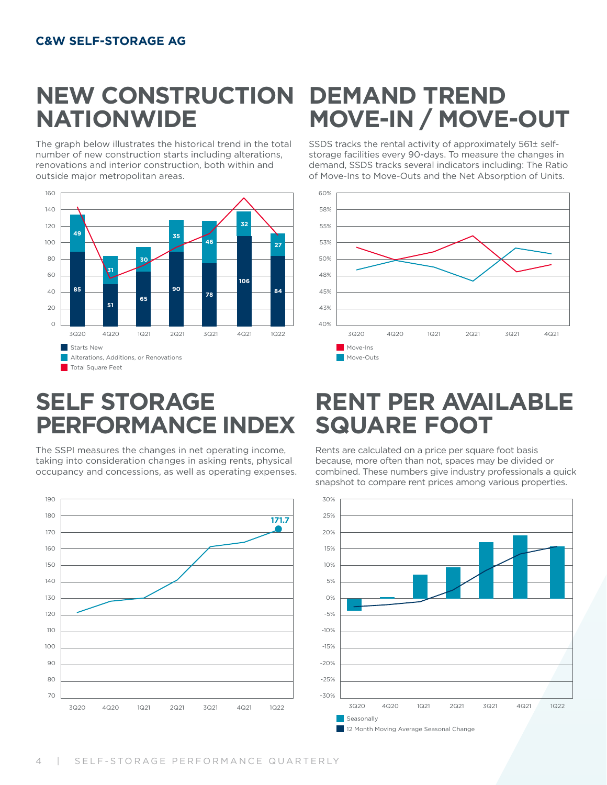#### **C&W SELF-STORAGE AG**

## **NEW CONSTRUCTION DEMAND TREND NATIONWIDE**

The graph below illustrates the historical trend in the total number of new construction starts including alterations, renovations and interior construction, both within and outside major metropolitan areas.



## **SELF STORAGE PERFORMANCE INDEX SQUARE FOOT**

The SSPI measures the changes in net operating income, taking into consideration changes in asking rents, physical occupancy and concessions, as well as operating expenses.



# **MOVE-IN / MOVE-OUT**

SSDS tracks the rental activity of approximately 561± selfstorage facilities every 90-days. To measure the changes in demand, SSDS tracks several indicators including: The Ratio of Move-Ins to Move-Outs and the Net Absorption of Units.



## **RENT PER AVAILABLE**

Rents are calculated on a price per square foot basis because, more often than not, spaces may be divided or combined. These numbers give industry professionals a quick snapshot to compare rent prices among various properties.

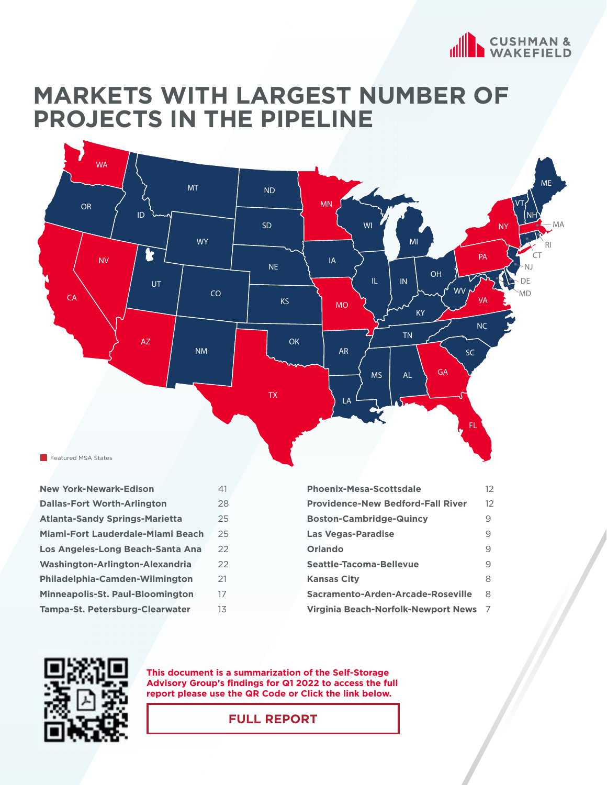

### **MARKETS WITH LARGEST NUMBER OF PROJECTS IN THE PIPELINE**



| <b>New York-Newark-Edison</b>         | 41 | <b>Phoenix-Mesa-Scottsdale</b>           | 12 |
|---------------------------------------|----|------------------------------------------|----|
| <b>Dallas-Fort Worth-Arlington</b>    | 28 | <b>Providence-New Bedford-Fall River</b> | 12 |
| <b>Atlanta-Sandy Springs-Marietta</b> | 25 | <b>Boston-Cambridge-Quincy</b>           | 9  |
| Miami-Fort Lauderdale-Miami Beach     | 25 | <b>Las Vegas-Paradise</b>                | 9  |
| Los Angeles-Long Beach-Santa Ana      | 22 | Orlando                                  | 9  |
| Washington-Arlington-Alexandria       | 22 | Seattle-Tacoma-Bellevue                  | 9  |
| Philadelphia-Camden-Wilmington        | 21 | <b>Kansas City</b>                       | 8  |
| Minneapolis-St. Paul-Bloomington      | 17 | Sacramento-Arden-Arcade-Roseville        | -8 |
| Tampa-St. Petersburg-Clearwater       | 13 | Virginia Beach-Norfolk-Newport News 7    |    |



**This document is a summarization of the Self-Storage Advisory Group's findings for Q1 2022 to access the full report please use the QR Code or Click the link below.** 

**[FULL REPORT](http://cushwakeselfstorage.com/wp-content/uploads/2022/04/Self-Storage-Performance-Quarterly-1Q22_unabridged.pdf)**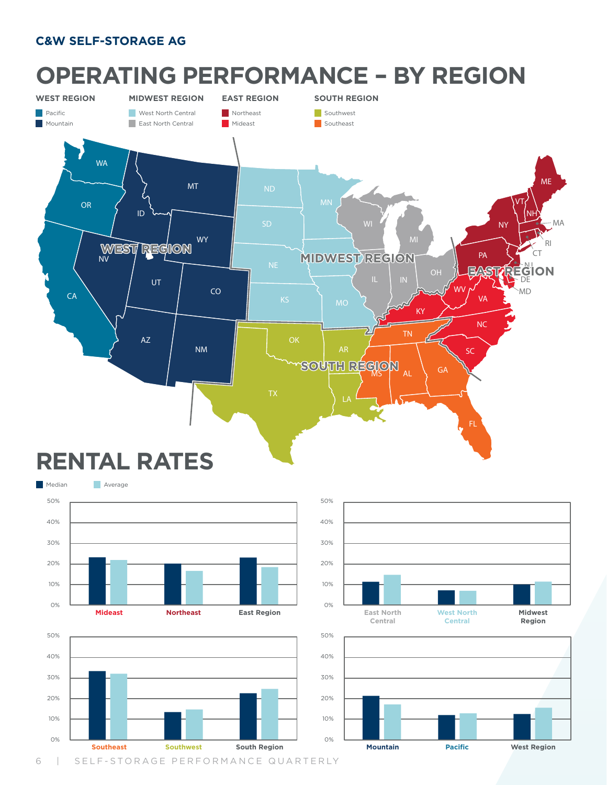## **OPERATING PERFORMANCE – BY REGION**